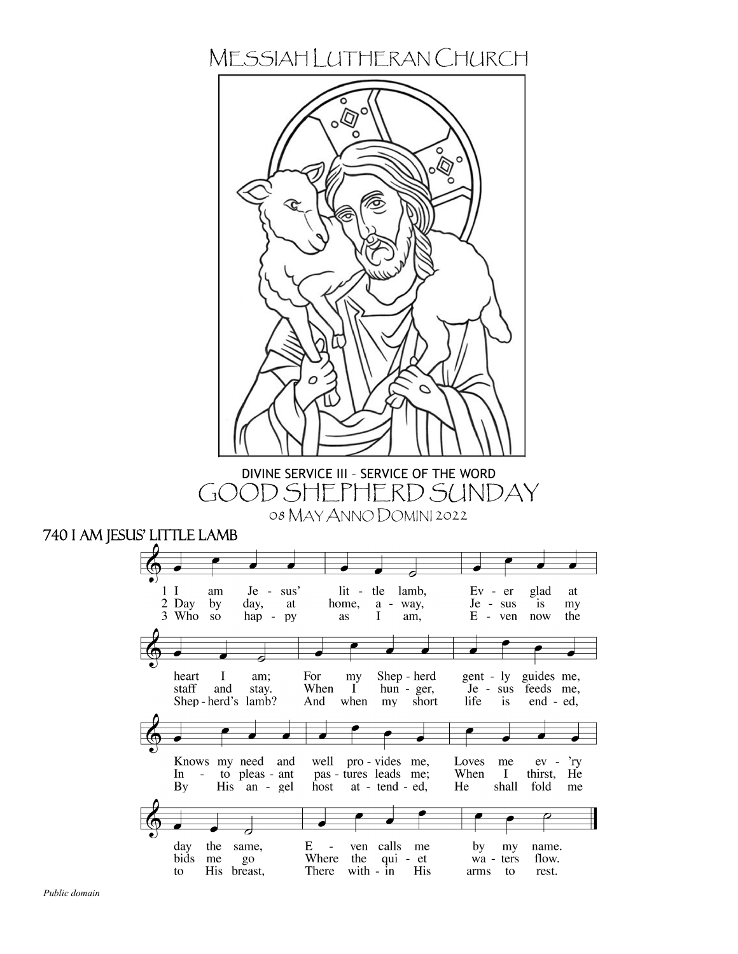

*Public domain*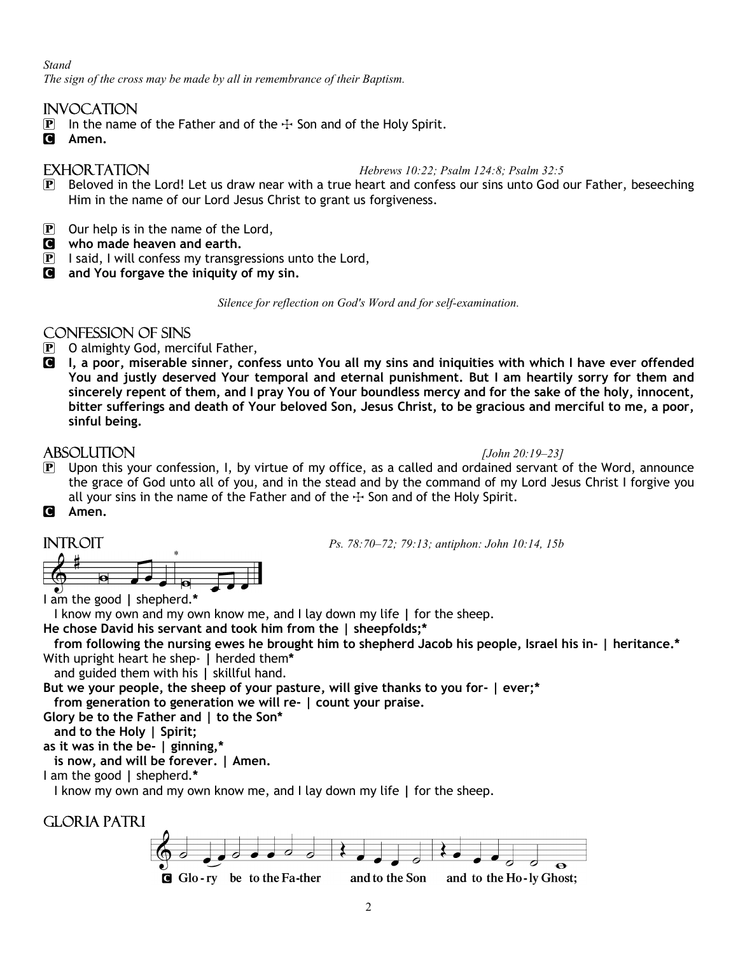*Stand The sign of the cross may be made by all in remembrance of their Baptism.*

# Invocation

- **P** In the name of the Father and of the  $\pm$  Son and of the Holy Spirit.
- C **Amen.**

### **EXHORTATION** *Hebrews 10:22; Psalm 124:8; Psalm 32:5*

- P Beloved in the Lord! Let us draw near with a true heart and confess our sins unto God our Father, beseeching Him in the name of our Lord Jesus Christ to grant us forgiveness.
- $\mathbf{P}$  Our help is in the name of the Lord,
- C **who made heaven and earth.**
- $\mathbf{P}$  I said, I will confess my transgressions unto the Lord,
- C **and You forgave the iniquity of my sin.**

*Silence for reflection on God's Word and for self-examination.*

# Confession of Sins

- P O almighty God, merciful Father,
- C **I, a poor, miserable sinner, confess unto You all my sins and iniquities with which I have ever offended You and justly deserved Your temporal and eternal punishment. But I am heartily sorry for them and sincerely repent of them, and I pray You of Your boundless mercy and for the sake of the holy, innocent, bitter sufferings and death of Your beloved Son, Jesus Christ, to be gracious and merciful to me, a poor, sinful being.**

# Absolution *[John 20:19–23]*

- P Upon this your confession, I, by virtue of my office, as a called and ordained servant of the Word, announce the grace of God unto all of you, and in the stead and by the command of my Lord Jesus Christ I forgive you all your sins in the name of the Father and of the  $\pm$  Son and of the Holy Spirit.
- C **Amen.**



Introit *Ps. 78:70–72; 79:13; antiphon: John 10:14, 15b*

I am the good **|** shepherd.**\***

I know my own and my own know me, and I lay down my life **|** for the sheep.

**He chose David his servant and took him from the | sheepfolds;\***

**from following the nursing ewes he brought him to shepherd Jacob his people, Israel his in- | heritance.\*** With upright heart he shep- **|** herded them**\***

and guided them with his **|** skillful hand.

**But we your people, the sheep of your pasture, will give thanks to you for- | ever;\***

**from generation to generation we will re- | count your praise.**

**Glory be to the Father and | to the Son\***

**and to the Holy | Spirit;**

**as it was in the be- | ginning,\***

**is now, and will be forever. | Amen.**

I am the good **|** shepherd.**\***

I know my own and my own know me, and I lay down my life **|** for the sheep.



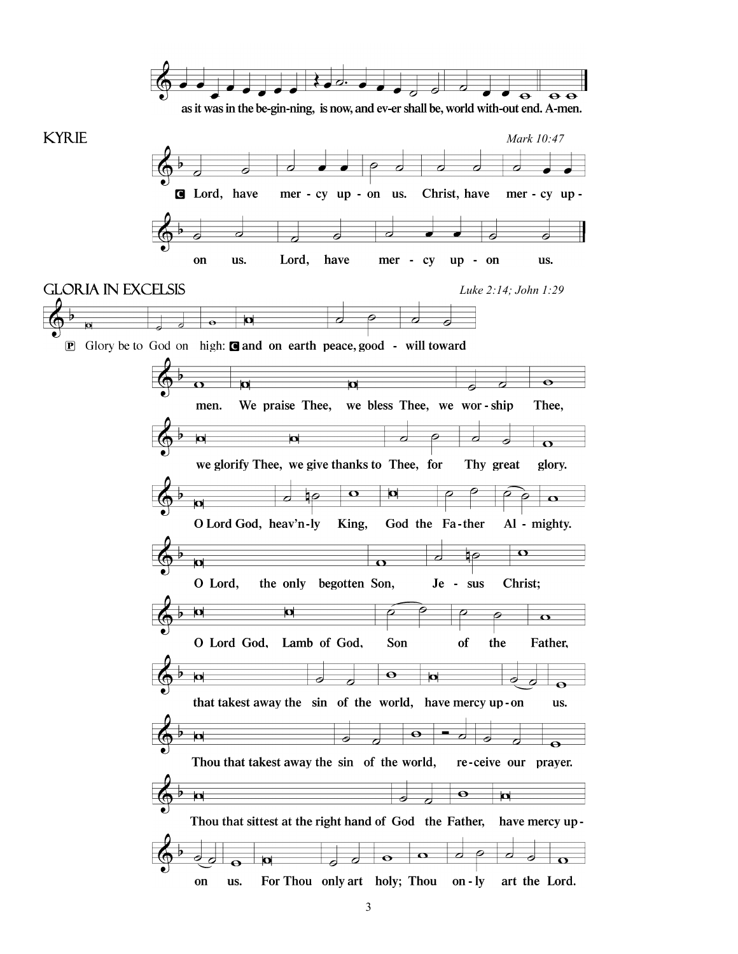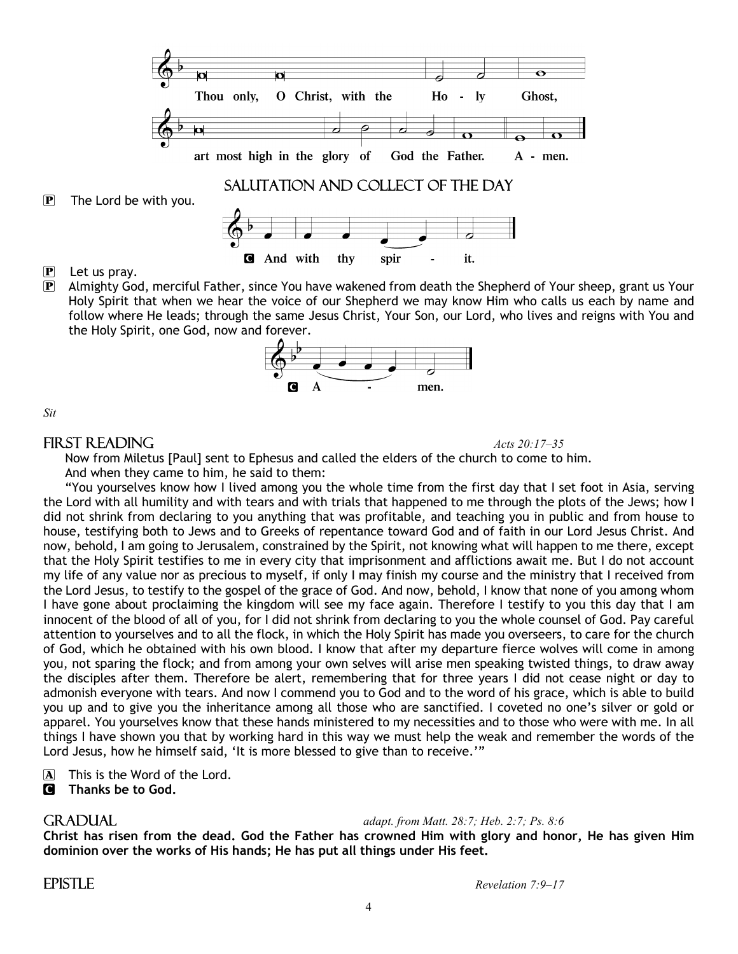

### $\mathbf{P}$  Let us pray.

P Almighty God, merciful Father, since You have wakened from death the Shepherd of Your sheep, grant us Your Holy Spirit that when we hear the voice of our Shepherd we may know Him who calls us each by name and follow where He leads; through the same Jesus Christ, Your Son, our Lord, who lives and reigns with You and the Holy Spirit, one God, now and forever.



*Sit*

### FIRST READING *Acts 20:17–35*

Now from Miletus [Paul] sent to Ephesus and called the elders of the church to come to him.

And when they came to him, he said to them:

"You yourselves know how I lived among you the whole time from the first day that I set foot in Asia, serving the Lord with all humility and with tears and with trials that happened to me through the plots of the Jews; how I did not shrink from declaring to you anything that was profitable, and teaching you in public and from house to house, testifying both to Jews and to Greeks of repentance toward God and of faith in our Lord Jesus Christ. And now, behold, I am going to Jerusalem, constrained by the Spirit, not knowing what will happen to me there, except that the Holy Spirit testifies to me in every city that imprisonment and afflictions await me. But I do not account my life of any value nor as precious to myself, if only I may finish my course and the ministry that I received from the Lord Jesus, to testify to the gospel of the grace of God. And now, behold, I know that none of you among whom I have gone about proclaiming the kingdom will see my face again. Therefore I testify to you this day that I am innocent of the blood of all of you, for I did not shrink from declaring to you the whole counsel of God. Pay careful attention to yourselves and to all the flock, in which the Holy Spirit has made you overseers, to care for the church of God, which he obtained with his own blood. I know that after my departure fierce wolves will come in among you, not sparing the flock; and from among your own selves will arise men speaking twisted things, to draw away the disciples after them. Therefore be alert, remembering that for three years I did not cease night or day to admonish everyone with tears. And now I commend you to God and to the word of his grace, which is able to build you up and to give you the inheritance among all those who are sanctified. I coveted no one's silver or gold or apparel. You yourselves know that these hands ministered to my necessities and to those who were with me. In all things I have shown you that by working hard in this way we must help the weak and remember the words of the Lord Jesus, how he himself said, 'It is more blessed to give than to receive.'"

- A This is the Word of the Lord.
- C **Thanks be to God.**

GRADUAL *adapt. from Matt. 28:7; Heb. 2:7; Ps. 8:6* 

**Christ has risen from the dead. God the Father has crowned Him with glory and honor, He has given Him dominion over the works of His hands; He has put all things under His feet.**

Epistle *Revelation 7:9–17*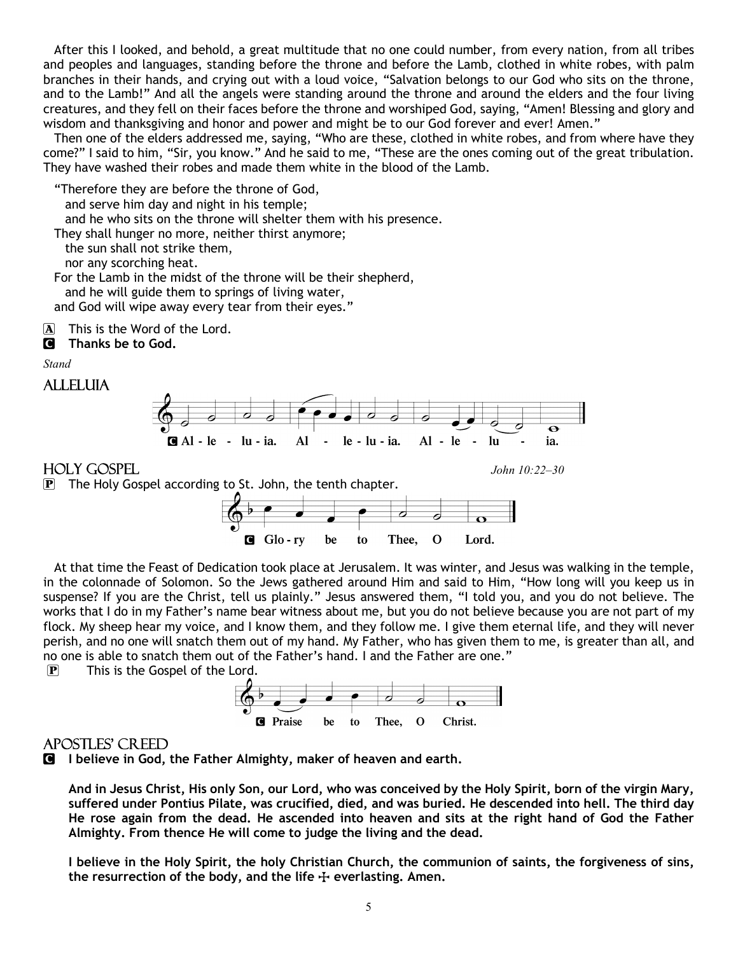After this I looked, and behold, a great multitude that no one could number, from every nation, from all tribes and peoples and languages, standing before the throne and before the Lamb, clothed in white robes, with palm branches in their hands, and crying out with a loud voice, "Salvation belongs to our God who sits on the throne, and to the Lamb!" And all the angels were standing around the throne and around the elders and the four living creatures, and they fell on their faces before the throne and worshiped God, saying, "Amen! Blessing and glory and wisdom and thanksgiving and honor and power and might be to our God forever and ever! Amen."

Then one of the elders addressed me, saying, "Who are these, clothed in white robes, and from where have they come?" I said to him, "Sir, you know." And he said to me, "These are the ones coming out of the great tribulation. They have washed their robes and made them white in the blood of the Lamb.

"Therefore they are before the throne of God, and serve him day and night in his temple; and he who sits on the throne will shelter them with his presence.

They shall hunger no more, neither thirst anymore;

the sun shall not strike them,

nor any scorching heat.

For the Lamb in the midst of the throne will be their shepherd, and he will guide them to springs of living water,

and God will wipe away every tear from their eyes."

 $\overline{A}$  This is the Word of the Lord.

C **Thanks be to God.**

*Stand*

### **ALLELUIA**



### Holy Gospel *John 10:22–30*





At that time the Feast of Dedication took place at Jerusalem. It was winter, and Jesus was walking in the temple, in the colonnade of Solomon. So the Jews gathered around Him and said to Him, "How long will you keep us in suspense? If you are the Christ, tell us plainly." Jesus answered them, "I told you, and you do not believe. The works that I do in my Father's name bear witness about me, but you do not believe because you are not part of my flock. My sheep hear my voice, and I know them, and they follow me. I give them eternal life, and they will never perish, and no one will snatch them out of my hand. My Father, who has given them to me, is greater than all, and no one is able to snatch them out of the Father's hand. I and the Father are one."

 $\boxed{\mathbf{P}}$  This is the Gospel of the Lord.



### Apostles' Creed

C **I believe in God, the Father Almighty, maker of heaven and earth.**

**And in Jesus Christ, His only Son, our Lord, who was conceived by the Holy Spirit, born of the virgin Mary, suffered under Pontius Pilate, was crucified, died, and was buried. He descended into hell. The third day He rose again from the dead. He ascended into heaven and sits at the right hand of God the Father Almighty. From thence He will come to judge the living and the dead.**

**I believe in the Holy Spirit, the holy Christian Church, the communion of saints, the forgiveness of sins, the resurrection of the body, and the life** T **everlasting. Amen.**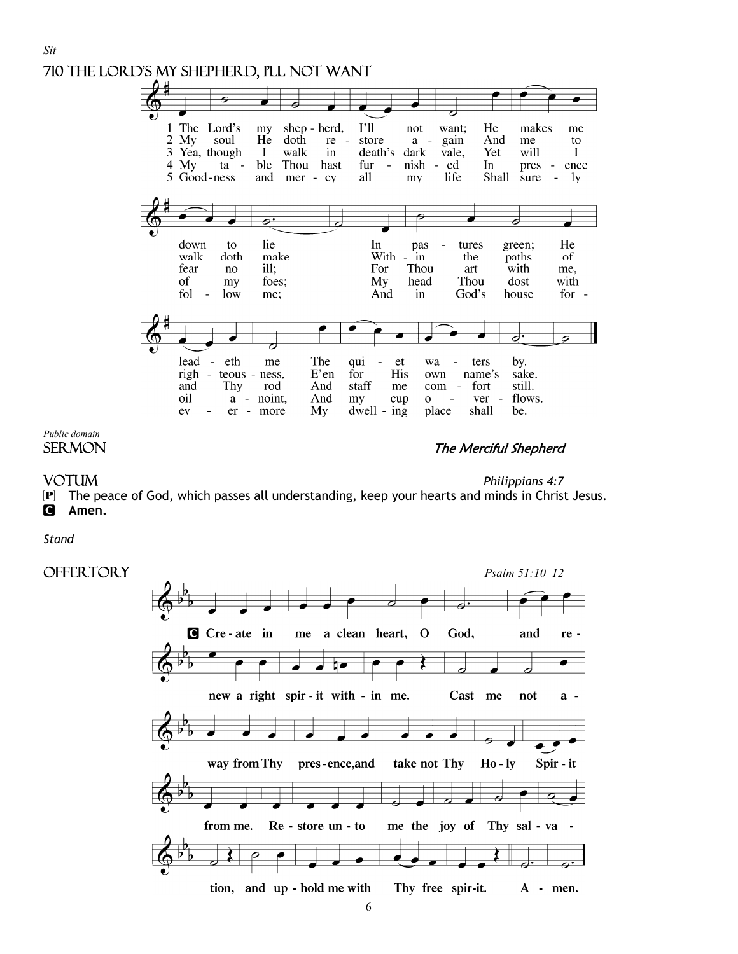# 710 The Lord's My Shepherd, I'll Not Want



### *Public domain*

### SERMON **The Merciful Shepherd**

Votum *Philippians 4:7*

- $\mathbb P$  The peace of God, which passes all understanding, keep your hearts and minds in Christ Jesus. C **Amen.**
- *Stand*

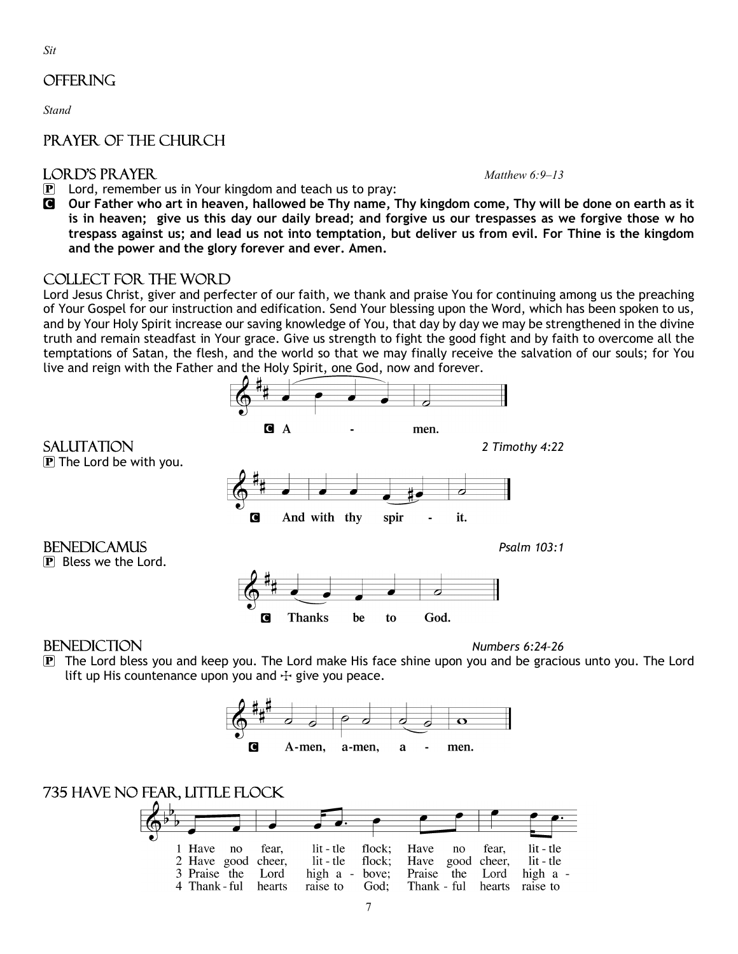# **OFFERING**

*Stand*

# Prayer of the Church

# LORD'S PRAYER **Matthew 6:9–13**

- $\mathbf{P}$  Lord, remember us in Your kingdom and teach us to pray:
- C **Our Father who art in heaven, hallowed be Thy name, Thy kingdom come, Thy will be done on earth as it is in heaven; give us this day our daily bread; and forgive us our trespasses as we forgive those w ho trespass against us; and lead us not into temptation, but deliver us from evil. For Thine is the kingdom and the power and the glory forever and ever. Amen.**

### Collect for the Word

Lord Jesus Christ, giver and perfecter of our faith, we thank and praise You for continuing among us the preaching of Your Gospel for our instruction and edification. Send Your blessing upon the Word, which has been spoken to us, and by Your Holy Spirit increase our saving knowledge of You, that day by day we may be strengthened in the divine truth and remain steadfast in Your grace. Give us strength to fight the good fight and by faith to overcome all the temptations of Satan, the flesh, and the world so that we may finally receive the salvation of our souls; for You live and reign with the Father and the Holy Spirit, one God, now and forever.



 $\mathbf{P}$  The Lord be with you.





### Benedicamus *Psalm 103:1*

**P** Bless we the Lord.



### BENEDICTION *Numbers 6:24-26*

 $\mathbf P$  The Lord bless you and keep you. The Lord make His face shine upon you and be gracious unto you. The Lord lift up His countenance upon you and  $\pm$  give you peace.



# 735 Have No Fear, Little Flock